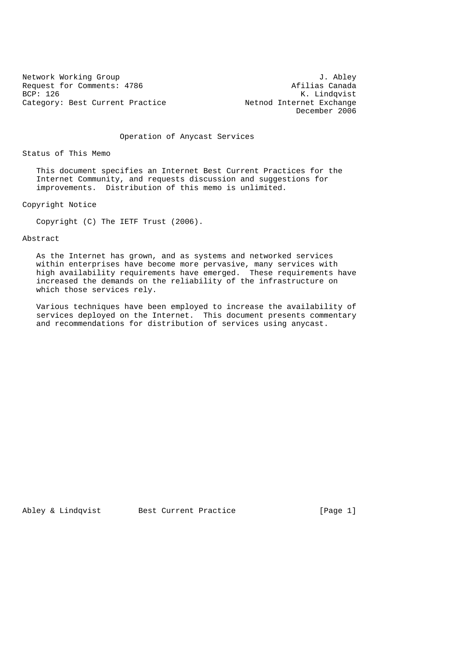Network Working Group and U. Abley<br>Request for Comments: 4786 and J. Abley Request for Comments: 4786<br>BCP: 126 Category: Best Current Practice

K. Lindqvist<br>Netnod Internet Exchange December 2006

Operation of Anycast Services

Status of This Memo

 This document specifies an Internet Best Current Practices for the Internet Community, and requests discussion and suggestions for improvements. Distribution of this memo is unlimited.

Copyright Notice

Copyright (C) The IETF Trust (2006).

Abstract

 As the Internet has grown, and as systems and networked services within enterprises have become more pervasive, many services with high availability requirements have emerged. These requirements have increased the demands on the reliability of the infrastructure on which those services rely.

 Various techniques have been employed to increase the availability of services deployed on the Internet. This document presents commentary and recommendations for distribution of services using anycast.

Abley & Lindqvist Best Current Practice [Page 1]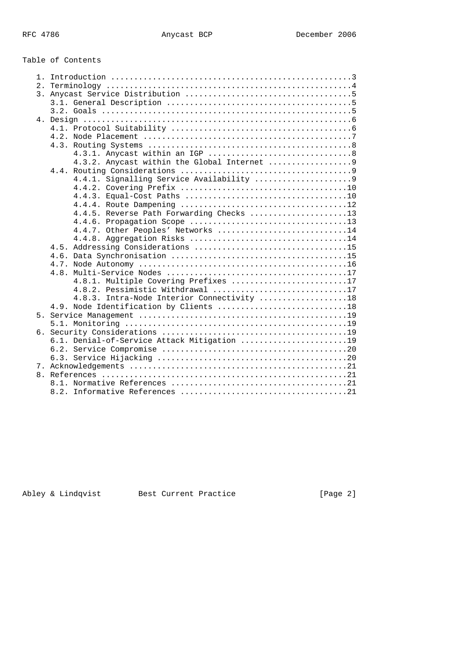Table of Contents

| 2.1 |                                             |
|-----|---------------------------------------------|
|     |                                             |
|     |                                             |
|     |                                             |
|     |                                             |
|     |                                             |
|     |                                             |
|     |                                             |
|     |                                             |
|     | 4.3.2. Anycast within the Global Internet 9 |
|     |                                             |
|     |                                             |
|     |                                             |
|     |                                             |
|     |                                             |
|     |                                             |
|     | 4.4.5. Reverse Path Forwarding Checks 13    |
|     |                                             |
|     | 4.4.7. Other Peoples' Networks 14           |
|     |                                             |
|     |                                             |
|     |                                             |
|     |                                             |
|     |                                             |
|     | 4.8.1. Multiple Covering Prefixes 17        |
|     | 4.8.2. Pessimistic Withdrawal 17            |
|     | 4.8.3. Intra-Node Interior Connectivity 18  |
|     | 4.9. Node Identification by Clients 18      |
|     |                                             |
|     |                                             |
|     |                                             |
|     | 6.1. Denial-of-Service Attack Mitigation 19 |
|     |                                             |
|     |                                             |
|     |                                             |
|     |                                             |
|     |                                             |
|     |                                             |
|     |                                             |

Abley & Lindqvist Best Current Practice [Page 2]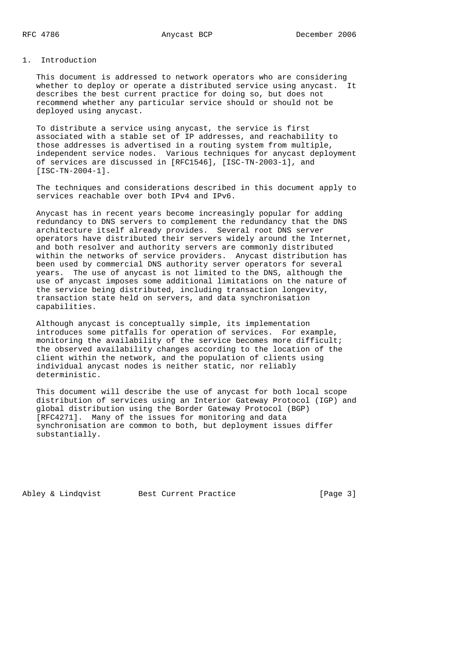# 1. Introduction

 This document is addressed to network operators who are considering whether to deploy or operate a distributed service using anycast. It describes the best current practice for doing so, but does not recommend whether any particular service should or should not be deployed using anycast.

 To distribute a service using anycast, the service is first associated with a stable set of IP addresses, and reachability to those addresses is advertised in a routing system from multiple, independent service nodes. Various techniques for anycast deployment of services are discussed in [RFC1546], [ISC-TN-2003-1], and [ISC-TN-2004-1].

 The techniques and considerations described in this document apply to services reachable over both IPv4 and IPv6.

 Anycast has in recent years become increasingly popular for adding redundancy to DNS servers to complement the redundancy that the DNS architecture itself already provides. Several root DNS server operators have distributed their servers widely around the Internet, and both resolver and authority servers are commonly distributed within the networks of service providers. Anycast distribution has been used by commercial DNS authority server operators for several years. The use of anycast is not limited to the DNS, although the use of anycast imposes some additional limitations on the nature of the service being distributed, including transaction longevity, transaction state held on servers, and data synchronisation capabilities.

 Although anycast is conceptually simple, its implementation introduces some pitfalls for operation of services. For example, monitoring the availability of the service becomes more difficult; the observed availability changes according to the location of the client within the network, and the population of clients using individual anycast nodes is neither static, nor reliably deterministic.

 This document will describe the use of anycast for both local scope distribution of services using an Interior Gateway Protocol (IGP) and global distribution using the Border Gateway Protocol (BGP) [RFC4271]. Many of the issues for monitoring and data synchronisation are common to both, but deployment issues differ substantially.

Abley & Lindqvist Best Current Practice [Page 3]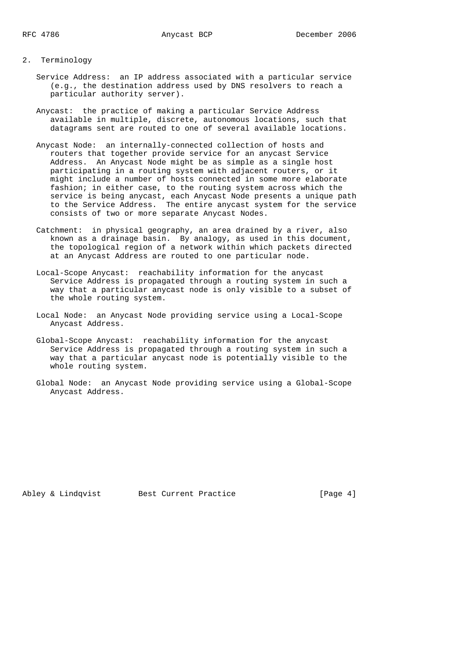#### 2. Terminology

- Service Address: an IP address associated with a particular service (e.g., the destination address used by DNS resolvers to reach a particular authority server).
- Anycast: the practice of making a particular Service Address available in multiple, discrete, autonomous locations, such that datagrams sent are routed to one of several available locations.
- Anycast Node: an internally-connected collection of hosts and routers that together provide service for an anycast Service Address. An Anycast Node might be as simple as a single host participating in a routing system with adjacent routers, or it might include a number of hosts connected in some more elaborate fashion; in either case, to the routing system across which the service is being anycast, each Anycast Node presents a unique path to the Service Address. The entire anycast system for the service consists of two or more separate Anycast Nodes.
- Catchment: in physical geography, an area drained by a river, also known as a drainage basin. By analogy, as used in this document, the topological region of a network within which packets directed at an Anycast Address are routed to one particular node.
- Local-Scope Anycast: reachability information for the anycast Service Address is propagated through a routing system in such a way that a particular anycast node is only visible to a subset of the whole routing system.
- Local Node: an Anycast Node providing service using a Local-Scope Anycast Address.
- Global-Scope Anycast: reachability information for the anycast Service Address is propagated through a routing system in such a way that a particular anycast node is potentially visible to the whole routing system.
- Global Node: an Anycast Node providing service using a Global-Scope Anycast Address.

Abley & Lindqvist Best Current Practice [Page 4]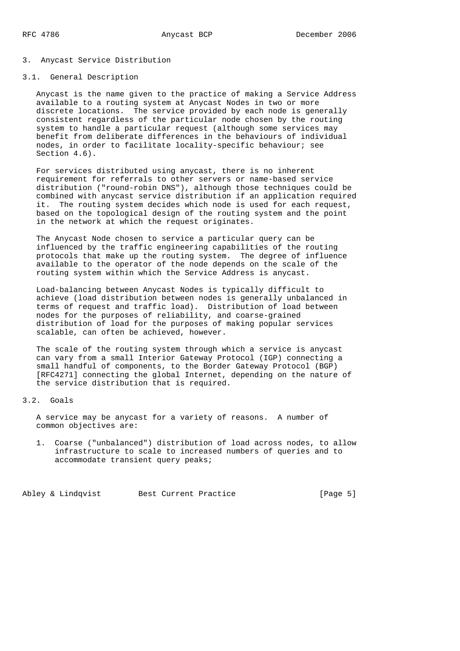#### 3. Anycast Service Distribution

## 3.1. General Description

 Anycast is the name given to the practice of making a Service Address available to a routing system at Anycast Nodes in two or more discrete locations. The service provided by each node is generally consistent regardless of the particular node chosen by the routing system to handle a particular request (although some services may benefit from deliberate differences in the behaviours of individual nodes, in order to facilitate locality-specific behaviour; see Section  $4.6$ ).

 For services distributed using anycast, there is no inherent requirement for referrals to other servers or name-based service distribution ("round-robin DNS"), although those techniques could be combined with anycast service distribution if an application required it. The routing system decides which node is used for each request, based on the topological design of the routing system and the point in the network at which the request originates.

 The Anycast Node chosen to service a particular query can be influenced by the traffic engineering capabilities of the routing protocols that make up the routing system. The degree of influence available to the operator of the node depends on the scale of the routing system within which the Service Address is anycast.

 Load-balancing between Anycast Nodes is typically difficult to achieve (load distribution between nodes is generally unbalanced in terms of request and traffic load). Distribution of load between nodes for the purposes of reliability, and coarse-grained distribution of load for the purposes of making popular services scalable, can often be achieved, however.

 The scale of the routing system through which a service is anycast can vary from a small Interior Gateway Protocol (IGP) connecting a small handful of components, to the Border Gateway Protocol (BGP) [RFC4271] connecting the global Internet, depending on the nature of the service distribution that is required.

## 3.2. Goals

 A service may be anycast for a variety of reasons. A number of common objectives are:

 1. Coarse ("unbalanced") distribution of load across nodes, to allow infrastructure to scale to increased numbers of queries and to accommodate transient query peaks;

Abley & Lindqvist Best Current Practice [Page 5]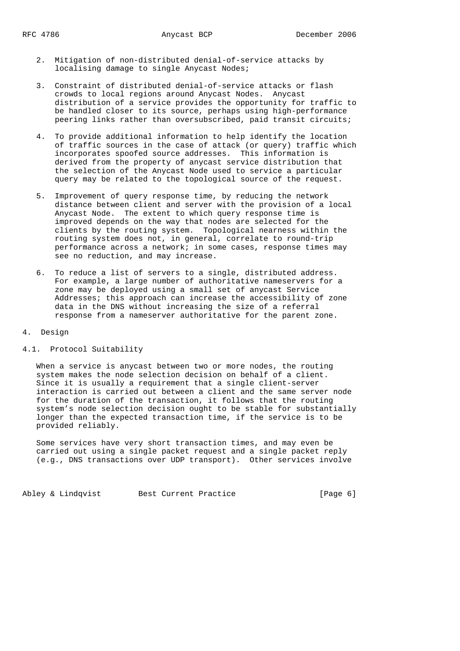- 2. Mitigation of non-distributed denial-of-service attacks by localising damage to single Anycast Nodes;
- 3. Constraint of distributed denial-of-service attacks or flash crowds to local regions around Anycast Nodes. Anycast distribution of a service provides the opportunity for traffic to be handled closer to its source, perhaps using high-performance peering links rather than oversubscribed, paid transit circuits;
- 4. To provide additional information to help identify the location of traffic sources in the case of attack (or query) traffic which incorporates spoofed source addresses. This information is derived from the property of anycast service distribution that the selection of the Anycast Node used to service a particular query may be related to the topological source of the request.
- 5. Improvement of query response time, by reducing the network distance between client and server with the provision of a local Anycast Node. The extent to which query response time is improved depends on the way that nodes are selected for the clients by the routing system. Topological nearness within the routing system does not, in general, correlate to round-trip performance across a network; in some cases, response times may see no reduction, and may increase.
- 6. To reduce a list of servers to a single, distributed address. For example, a large number of authoritative nameservers for a zone may be deployed using a small set of anycast Service Addresses; this approach can increase the accessibility of zone data in the DNS without increasing the size of a referral response from a nameserver authoritative for the parent zone.

#### 4. Design

#### 4.1. Protocol Suitability

 When a service is anycast between two or more nodes, the routing system makes the node selection decision on behalf of a client. Since it is usually a requirement that a single client-server interaction is carried out between a client and the same server node for the duration of the transaction, it follows that the routing system's node selection decision ought to be stable for substantially longer than the expected transaction time, if the service is to be provided reliably.

 Some services have very short transaction times, and may even be carried out using a single packet request and a single packet reply (e.g., DNS transactions over UDP transport). Other services involve

Abley & Lindqvist Best Current Practice [Page 6]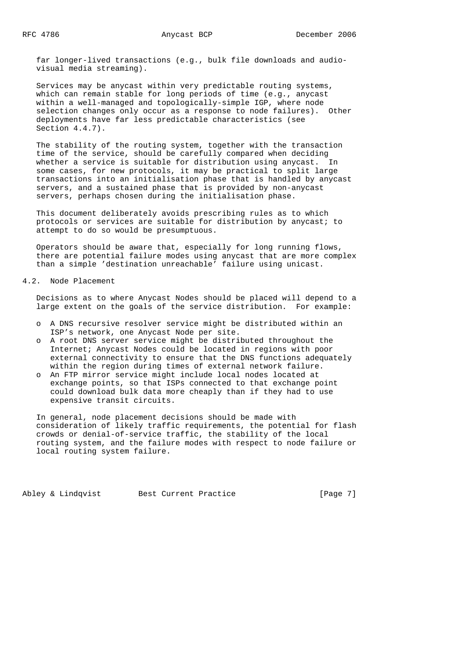far longer-lived transactions (e.g., bulk file downloads and audio visual media streaming).

 Services may be anycast within very predictable routing systems, which can remain stable for long periods of time (e.g., anycast within a well-managed and topologically-simple IGP, where node selection changes only occur as a response to node failures). Other deployments have far less predictable characteristics (see Section 4.4.7).

 The stability of the routing system, together with the transaction time of the service, should be carefully compared when deciding whether a service is suitable for distribution using anycast. In some cases, for new protocols, it may be practical to split large transactions into an initialisation phase that is handled by anycast servers, and a sustained phase that is provided by non-anycast servers, perhaps chosen during the initialisation phase.

 This document deliberately avoids prescribing rules as to which protocols or services are suitable for distribution by anycast; to attempt to do so would be presumptuous.

 Operators should be aware that, especially for long running flows, there are potential failure modes using anycast that are more complex than a simple 'destination unreachable' failure using unicast.

# 4.2. Node Placement

 Decisions as to where Anycast Nodes should be placed will depend to a large extent on the goals of the service distribution. For example:

- o A DNS recursive resolver service might be distributed within an ISP's network, one Anycast Node per site.
- o A root DNS server service might be distributed throughout the Internet; Anycast Nodes could be located in regions with poor external connectivity to ensure that the DNS functions adequately within the region during times of external network failure.
- o An FTP mirror service might include local nodes located at exchange points, so that ISPs connected to that exchange point could download bulk data more cheaply than if they had to use expensive transit circuits.

 In general, node placement decisions should be made with consideration of likely traffic requirements, the potential for flash crowds or denial-of-service traffic, the stability of the local routing system, and the failure modes with respect to node failure or local routing system failure.

Abley & Lindqvist Best Current Practice [Page 7]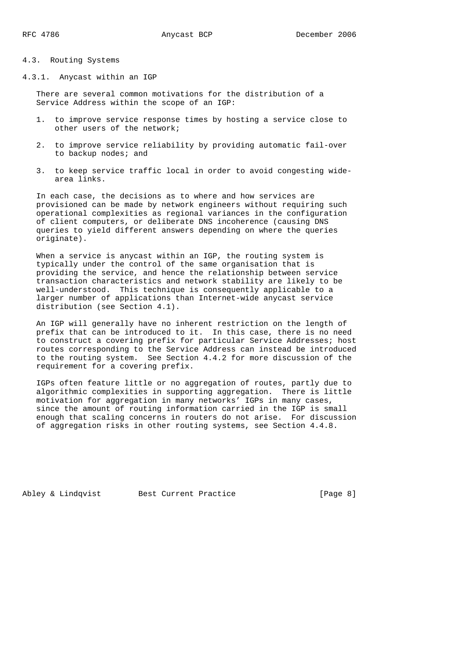## 4.3. Routing Systems

4.3.1. Anycast within an IGP

 There are several common motivations for the distribution of a Service Address within the scope of an IGP:

- 1. to improve service response times by hosting a service close to other users of the network;
- 2. to improve service reliability by providing automatic fail-over to backup nodes; and
- 3. to keep service traffic local in order to avoid congesting wide area links.

 In each case, the decisions as to where and how services are provisioned can be made by network engineers without requiring such operational complexities as regional variances in the configuration of client computers, or deliberate DNS incoherence (causing DNS queries to yield different answers depending on where the queries originate).

When a service is anycast within an IGP, the routing system is typically under the control of the same organisation that is providing the service, and hence the relationship between service transaction characteristics and network stability are likely to be well-understood. This technique is consequently applicable to a larger number of applications than Internet-wide anycast service distribution (see Section 4.1).

 An IGP will generally have no inherent restriction on the length of prefix that can be introduced to it. In this case, there is no need to construct a covering prefix for particular Service Addresses; host routes corresponding to the Service Address can instead be introduced to the routing system. See Section 4.4.2 for more discussion of the requirement for a covering prefix.

 IGPs often feature little or no aggregation of routes, partly due to algorithmic complexities in supporting aggregation. There is little motivation for aggregation in many networks' IGPs in many cases, since the amount of routing information carried in the IGP is small enough that scaling concerns in routers do not arise. For discussion of aggregation risks in other routing systems, see Section 4.4.8.

Abley & Lindqvist Best Current Practice [Page 8]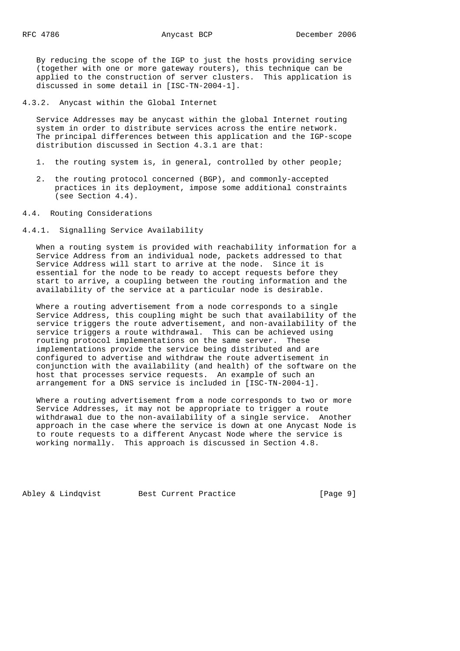By reducing the scope of the IGP to just the hosts providing service (together with one or more gateway routers), this technique can be applied to the construction of server clusters. This application is discussed in some detail in [ISC-TN-2004-1].

4.3.2. Anycast within the Global Internet

 Service Addresses may be anycast within the global Internet routing system in order to distribute services across the entire network. The principal differences between this application and the IGP-scope distribution discussed in Section 4.3.1 are that:

- 1. the routing system is, in general, controlled by other people;
- 2. the routing protocol concerned (BGP), and commonly-accepted practices in its deployment, impose some additional constraints (see Section 4.4).
- 4.4. Routing Considerations
- 4.4.1. Signalling Service Availability

 When a routing system is provided with reachability information for a Service Address from an individual node, packets addressed to that Service Address will start to arrive at the node. Since it is essential for the node to be ready to accept requests before they start to arrive, a coupling between the routing information and the availability of the service at a particular node is desirable.

 Where a routing advertisement from a node corresponds to a single Service Address, this coupling might be such that availability of the service triggers the route advertisement, and non-availability of the service triggers a route withdrawal. This can be achieved using routing protocol implementations on the same server. These implementations provide the service being distributed and are configured to advertise and withdraw the route advertisement in conjunction with the availability (and health) of the software on the host that processes service requests. An example of such an arrangement for a DNS service is included in [ISC-TN-2004-1].

 Where a routing advertisement from a node corresponds to two or more Service Addresses, it may not be appropriate to trigger a route withdrawal due to the non-availability of a single service. Another approach in the case where the service is down at one Anycast Node is to route requests to a different Anycast Node where the service is working normally. This approach is discussed in Section 4.8.

Abley & Lindqvist Best Current Practice [Page 9]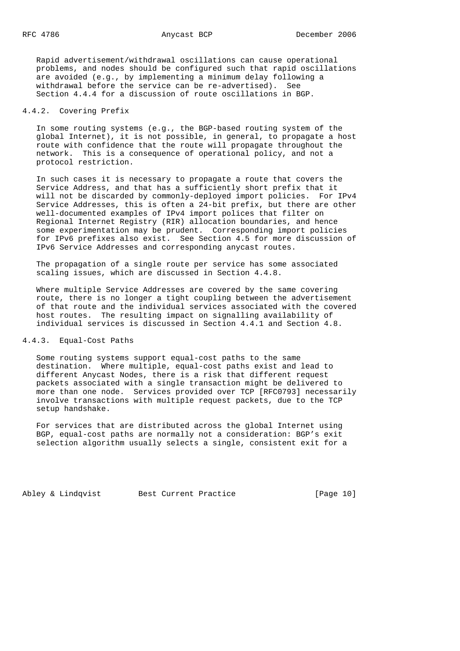Rapid advertisement/withdrawal oscillations can cause operational problems, and nodes should be configured such that rapid oscillations are avoided (e.g., by implementing a minimum delay following a withdrawal before the service can be re-advertised). See Section 4.4.4 for a discussion of route oscillations in BGP.

## 4.4.2. Covering Prefix

 In some routing systems (e.g., the BGP-based routing system of the global Internet), it is not possible, in general, to propagate a host route with confidence that the route will propagate throughout the network. This is a consequence of operational policy, and not a protocol restriction.

 In such cases it is necessary to propagate a route that covers the Service Address, and that has a sufficiently short prefix that it will not be discarded by commonly-deployed import policies. For IPv4 Service Addresses, this is often a 24-bit prefix, but there are other well-documented examples of IPv4 import polices that filter on Regional Internet Registry (RIR) allocation boundaries, and hence some experimentation may be prudent. Corresponding import policies for IPv6 prefixes also exist. See Section 4.5 for more discussion of IPv6 Service Addresses and corresponding anycast routes.

 The propagation of a single route per service has some associated scaling issues, which are discussed in Section 4.4.8.

 Where multiple Service Addresses are covered by the same covering route, there is no longer a tight coupling between the advertisement of that route and the individual services associated with the covered host routes. The resulting impact on signalling availability of individual services is discussed in Section 4.4.1 and Section 4.8.

# 4.4.3. Equal-Cost Paths

 Some routing systems support equal-cost paths to the same destination. Where multiple, equal-cost paths exist and lead to different Anycast Nodes, there is a risk that different request packets associated with a single transaction might be delivered to more than one node. Services provided over TCP [RFC0793] necessarily involve transactions with multiple request packets, due to the TCP setup handshake.

 For services that are distributed across the global Internet using BGP, equal-cost paths are normally not a consideration: BGP's exit selection algorithm usually selects a single, consistent exit for a

Abley & Lindqvist Best Current Practice [Page 10]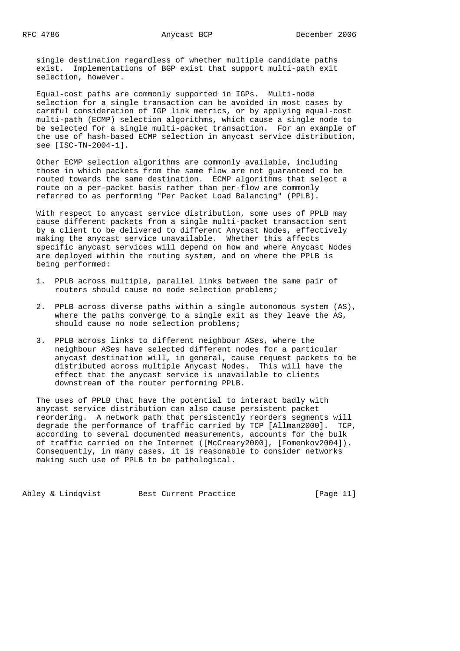single destination regardless of whether multiple candidate paths exist. Implementations of BGP exist that support multi-path exit selection, however.

 Equal-cost paths are commonly supported in IGPs. Multi-node selection for a single transaction can be avoided in most cases by careful consideration of IGP link metrics, or by applying equal-cost multi-path (ECMP) selection algorithms, which cause a single node to be selected for a single multi-packet transaction. For an example of the use of hash-based ECMP selection in anycast service distribution, see [ISC-TN-2004-1].

 Other ECMP selection algorithms are commonly available, including those in which packets from the same flow are not guaranteed to be routed towards the same destination. ECMP algorithms that select a route on a per-packet basis rather than per-flow are commonly referred to as performing "Per Packet Load Balancing" (PPLB).

 With respect to anycast service distribution, some uses of PPLB may cause different packets from a single multi-packet transaction sent by a client to be delivered to different Anycast Nodes, effectively making the anycast service unavailable. Whether this affects specific anycast services will depend on how and where Anycast Nodes are deployed within the routing system, and on where the PPLB is being performed:

- 1. PPLB across multiple, parallel links between the same pair of routers should cause no node selection problems;
- 2. PPLB across diverse paths within a single autonomous system (AS), where the paths converge to a single exit as they leave the AS, should cause no node selection problems;
- 3. PPLB across links to different neighbour ASes, where the neighbour ASes have selected different nodes for a particular anycast destination will, in general, cause request packets to be distributed across multiple Anycast Nodes. This will have the effect that the anycast service is unavailable to clients downstream of the router performing PPLB.

 The uses of PPLB that have the potential to interact badly with anycast service distribution can also cause persistent packet reordering. A network path that persistently reorders segments will degrade the performance of traffic carried by TCP [Allman2000]. TCP, according to several documented measurements, accounts for the bulk of traffic carried on the Internet ([McCreary2000], [Fomenkov2004]). Consequently, in many cases, it is reasonable to consider networks making such use of PPLB to be pathological.

Abley & Lindqvist Best Current Practice [Page 11]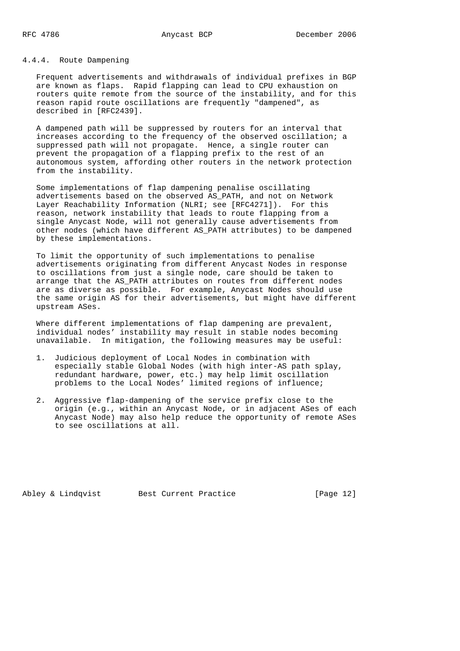# 4.4.4. Route Dampening

 Frequent advertisements and withdrawals of individual prefixes in BGP are known as flaps. Rapid flapping can lead to CPU exhaustion on routers quite remote from the source of the instability, and for this reason rapid route oscillations are frequently "dampened", as described in [RFC2439].

 A dampened path will be suppressed by routers for an interval that increases according to the frequency of the observed oscillation; a suppressed path will not propagate. Hence, a single router can prevent the propagation of a flapping prefix to the rest of an autonomous system, affording other routers in the network protection from the instability.

 Some implementations of flap dampening penalise oscillating advertisements based on the observed AS\_PATH, and not on Network Layer Reachability Information (NLRI; see [RFC4271]). For this reason, network instability that leads to route flapping from a single Anycast Node, will not generally cause advertisements from other nodes (which have different AS\_PATH attributes) to be dampened by these implementations.

 To limit the opportunity of such implementations to penalise advertisements originating from different Anycast Nodes in response to oscillations from just a single node, care should be taken to arrange that the AS\_PATH attributes on routes from different nodes are as diverse as possible. For example, Anycast Nodes should use the same origin AS for their advertisements, but might have different upstream ASes.

 Where different implementations of flap dampening are prevalent, individual nodes' instability may result in stable nodes becoming unavailable. In mitigation, the following measures may be useful:

- 1. Judicious deployment of Local Nodes in combination with especially stable Global Nodes (with high inter-AS path splay, redundant hardware, power, etc.) may help limit oscillation problems to the Local Nodes' limited regions of influence;
- 2. Aggressive flap-dampening of the service prefix close to the origin (e.g., within an Anycast Node, or in adjacent ASes of each Anycast Node) may also help reduce the opportunity of remote ASes to see oscillations at all.

Abley & Lindqvist Best Current Practice [Page 12]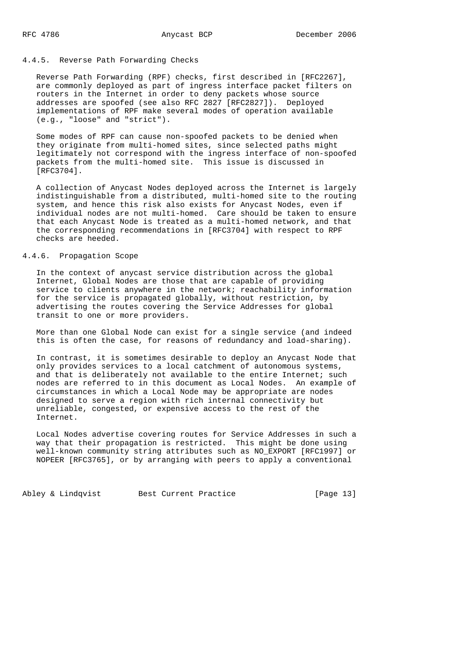# 4.4.5. Reverse Path Forwarding Checks

 Reverse Path Forwarding (RPF) checks, first described in [RFC2267], are commonly deployed as part of ingress interface packet filters on routers in the Internet in order to deny packets whose source addresses are spoofed (see also RFC 2827 [RFC2827]). Deployed implementations of RPF make several modes of operation available (e.g., "loose" and "strict").

 Some modes of RPF can cause non-spoofed packets to be denied when they originate from multi-homed sites, since selected paths might legitimately not correspond with the ingress interface of non-spoofed packets from the multi-homed site. This issue is discussed in [RFC3704].

 A collection of Anycast Nodes deployed across the Internet is largely indistinguishable from a distributed, multi-homed site to the routing system, and hence this risk also exists for Anycast Nodes, even if individual nodes are not multi-homed. Care should be taken to ensure that each Anycast Node is treated as a multi-homed network, and that the corresponding recommendations in [RFC3704] with respect to RPF checks are heeded.

# 4.4.6. Propagation Scope

 In the context of anycast service distribution across the global Internet, Global Nodes are those that are capable of providing service to clients anywhere in the network; reachability information for the service is propagated globally, without restriction, by advertising the routes covering the Service Addresses for global transit to one or more providers.

 More than one Global Node can exist for a single service (and indeed this is often the case, for reasons of redundancy and load-sharing).

 In contrast, it is sometimes desirable to deploy an Anycast Node that only provides services to a local catchment of autonomous systems, and that is deliberately not available to the entire Internet; such nodes are referred to in this document as Local Nodes. An example of circumstances in which a Local Node may be appropriate are nodes designed to serve a region with rich internal connectivity but unreliable, congested, or expensive access to the rest of the Internet.

 Local Nodes advertise covering routes for Service Addresses in such a way that their propagation is restricted. This might be done using well-known community string attributes such as NO\_EXPORT [RFC1997] or NOPEER [RFC3765], or by arranging with peers to apply a conventional

Abley & Lindqvist Best Current Practice [Page 13]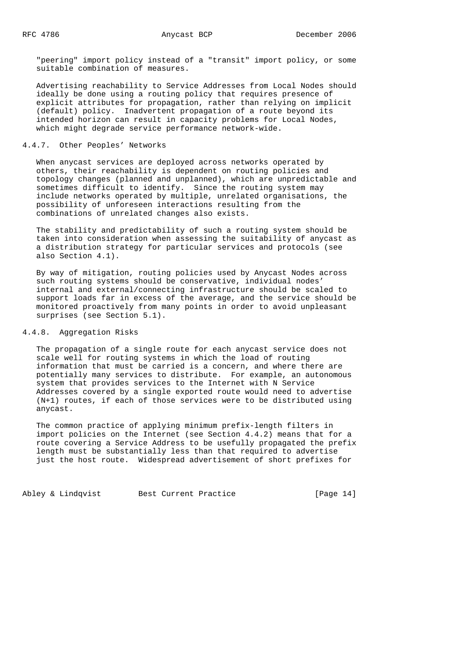"peering" import policy instead of a "transit" import policy, or some suitable combination of measures.

 Advertising reachability to Service Addresses from Local Nodes should ideally be done using a routing policy that requires presence of explicit attributes for propagation, rather than relying on implicit (default) policy. Inadvertent propagation of a route beyond its intended horizon can result in capacity problems for Local Nodes, which might degrade service performance network-wide.

## 4.4.7. Other Peoples' Networks

 When anycast services are deployed across networks operated by others, their reachability is dependent on routing policies and topology changes (planned and unplanned), which are unpredictable and sometimes difficult to identify. Since the routing system may include networks operated by multiple, unrelated organisations, the possibility of unforeseen interactions resulting from the combinations of unrelated changes also exists.

 The stability and predictability of such a routing system should be taken into consideration when assessing the suitability of anycast as a distribution strategy for particular services and protocols (see also Section 4.1).

 By way of mitigation, routing policies used by Anycast Nodes across such routing systems should be conservative, individual nodes' internal and external/connecting infrastructure should be scaled to support loads far in excess of the average, and the service should be monitored proactively from many points in order to avoid unpleasant surprises (see Section 5.1).

# 4.4.8. Aggregation Risks

 The propagation of a single route for each anycast service does not scale well for routing systems in which the load of routing information that must be carried is a concern, and where there are potentially many services to distribute. For example, an autonomous system that provides services to the Internet with N Service Addresses covered by a single exported route would need to advertise (N+1) routes, if each of those services were to be distributed using anycast.

 The common practice of applying minimum prefix-length filters in import policies on the Internet (see Section 4.4.2) means that for a route covering a Service Address to be usefully propagated the prefix length must be substantially less than that required to advertise just the host route. Widespread advertisement of short prefixes for

Abley & Lindqvist Best Current Practice [Page 14]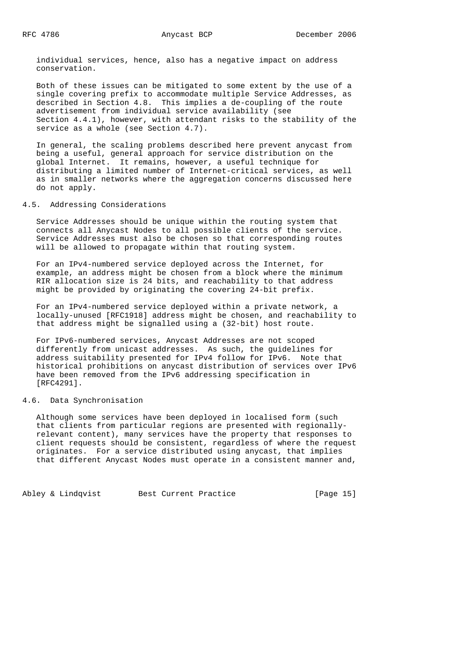individual services, hence, also has a negative impact on address conservation.

 Both of these issues can be mitigated to some extent by the use of a single covering prefix to accommodate multiple Service Addresses, as described in Section 4.8. This implies a de-coupling of the route advertisement from individual service availability (see Section 4.4.1), however, with attendant risks to the stability of the service as a whole (see Section 4.7).

 In general, the scaling problems described here prevent anycast from being a useful, general approach for service distribution on the global Internet. It remains, however, a useful technique for distributing a limited number of Internet-critical services, as well as in smaller networks where the aggregation concerns discussed here do not apply.

#### 4.5. Addressing Considerations

 Service Addresses should be unique within the routing system that connects all Anycast Nodes to all possible clients of the service. Service Addresses must also be chosen so that corresponding routes will be allowed to propagate within that routing system.

 For an IPv4-numbered service deployed across the Internet, for example, an address might be chosen from a block where the minimum RIR allocation size is 24 bits, and reachability to that address might be provided by originating the covering 24-bit prefix.

 For an IPv4-numbered service deployed within a private network, a locally-unused [RFC1918] address might be chosen, and reachability to that address might be signalled using a (32-bit) host route.

 For IPv6-numbered services, Anycast Addresses are not scoped differently from unicast addresses. As such, the guidelines for address suitability presented for IPv4 follow for IPv6. Note that historical prohibitions on anycast distribution of services over IPv6 have been removed from the IPv6 addressing specification in [RFC4291].

## 4.6. Data Synchronisation

 Although some services have been deployed in localised form (such that clients from particular regions are presented with regionally relevant content), many services have the property that responses to client requests should be consistent, regardless of where the request originates. For a service distributed using anycast, that implies that different Anycast Nodes must operate in a consistent manner and,

Abley & Lindqvist Best Current Practice [Page 15]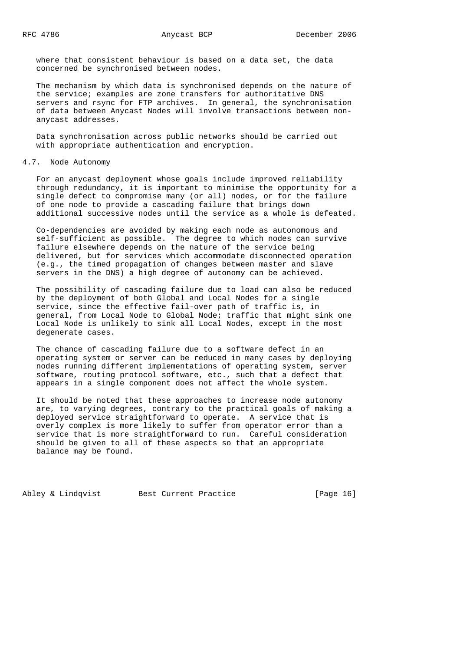where that consistent behaviour is based on a data set, the data concerned be synchronised between nodes.

 The mechanism by which data is synchronised depends on the nature of the service; examples are zone transfers for authoritative DNS servers and rsync for FTP archives. In general, the synchronisation of data between Anycast Nodes will involve transactions between non anycast addresses.

 Data synchronisation across public networks should be carried out with appropriate authentication and encryption.

#### 4.7. Node Autonomy

 For an anycast deployment whose goals include improved reliability through redundancy, it is important to minimise the opportunity for a single defect to compromise many (or all) nodes, or for the failure of one node to provide a cascading failure that brings down additional successive nodes until the service as a whole is defeated.

 Co-dependencies are avoided by making each node as autonomous and self-sufficient as possible. The degree to which nodes can survive failure elsewhere depends on the nature of the service being delivered, but for services which accommodate disconnected operation (e.g., the timed propagation of changes between master and slave servers in the DNS) a high degree of autonomy can be achieved.

 The possibility of cascading failure due to load can also be reduced by the deployment of both Global and Local Nodes for a single service, since the effective fail-over path of traffic is, in general, from Local Node to Global Node; traffic that might sink one Local Node is unlikely to sink all Local Nodes, except in the most degenerate cases.

 The chance of cascading failure due to a software defect in an operating system or server can be reduced in many cases by deploying nodes running different implementations of operating system, server software, routing protocol software, etc., such that a defect that appears in a single component does not affect the whole system.

 It should be noted that these approaches to increase node autonomy are, to varying degrees, contrary to the practical goals of making a deployed service straightforward to operate. A service that is overly complex is more likely to suffer from operator error than a service that is more straightforward to run. Careful consideration should be given to all of these aspects so that an appropriate balance may be found.

Abley & Lindqvist Best Current Practice [Page 16]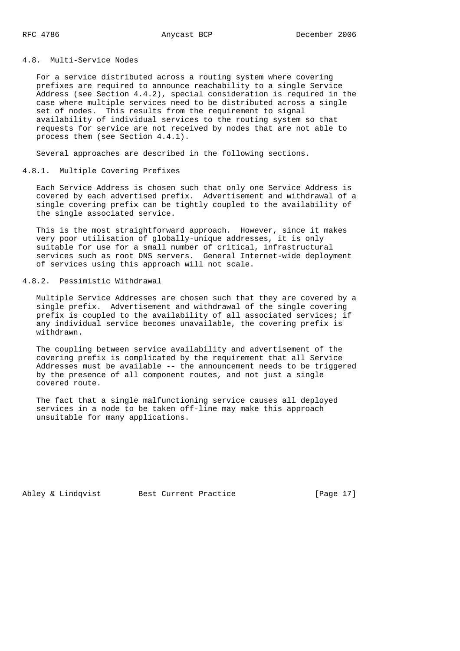4.8. Multi-Service Nodes

 For a service distributed across a routing system where covering prefixes are required to announce reachability to a single Service Address (see Section 4.4.2), special consideration is required in the case where multiple services need to be distributed across a single set of nodes. This results from the requirement to signal availability of individual services to the routing system so that requests for service are not received by nodes that are not able to process them (see Section 4.4.1).

Several approaches are described in the following sections.

#### 4.8.1. Multiple Covering Prefixes

 Each Service Address is chosen such that only one Service Address is covered by each advertised prefix. Advertisement and withdrawal of a single covering prefix can be tightly coupled to the availability of the single associated service.

 This is the most straightforward approach. However, since it makes very poor utilisation of globally-unique addresses, it is only suitable for use for a small number of critical, infrastructural services such as root DNS servers. General Internet-wide deployment of services using this approach will not scale.

# 4.8.2. Pessimistic Withdrawal

 Multiple Service Addresses are chosen such that they are covered by a single prefix. Advertisement and withdrawal of the single covering prefix is coupled to the availability of all associated services; if any individual service becomes unavailable, the covering prefix is withdrawn.

 The coupling between service availability and advertisement of the covering prefix is complicated by the requirement that all Service Addresses must be available -- the announcement needs to be triggered by the presence of all component routes, and not just a single covered route.

 The fact that a single malfunctioning service causes all deployed services in a node to be taken off-line may make this approach unsuitable for many applications.

Abley & Lindqvist Best Current Practice [Page 17]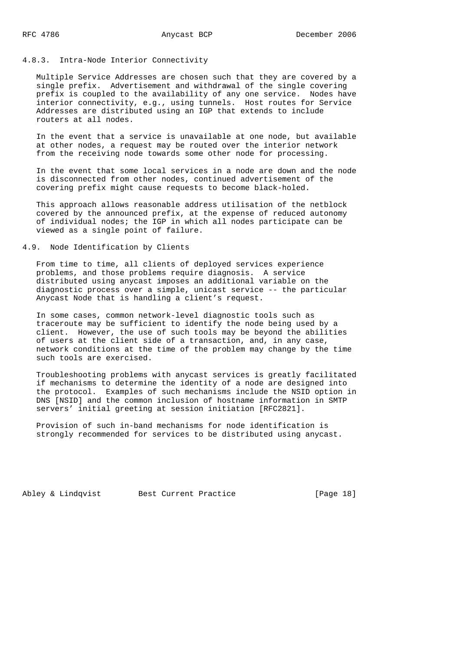#### 4.8.3. Intra-Node Interior Connectivity

 Multiple Service Addresses are chosen such that they are covered by a single prefix. Advertisement and withdrawal of the single covering prefix is coupled to the availability of any one service. Nodes have interior connectivity, e.g., using tunnels. Host routes for Service Addresses are distributed using an IGP that extends to include routers at all nodes.

 In the event that a service is unavailable at one node, but available at other nodes, a request may be routed over the interior network from the receiving node towards some other node for processing.

 In the event that some local services in a node are down and the node is disconnected from other nodes, continued advertisement of the covering prefix might cause requests to become black-holed.

 This approach allows reasonable address utilisation of the netblock covered by the announced prefix, at the expense of reduced autonomy of individual nodes; the IGP in which all nodes participate can be viewed as a single point of failure.

# 4.9. Node Identification by Clients

 From time to time, all clients of deployed services experience problems, and those problems require diagnosis. A service distributed using anycast imposes an additional variable on the diagnostic process over a simple, unicast service -- the particular Anycast Node that is handling a client's request.

 In some cases, common network-level diagnostic tools such as traceroute may be sufficient to identify the node being used by a client. However, the use of such tools may be beyond the abilities of users at the client side of a transaction, and, in any case, network conditions at the time of the problem may change by the time such tools are exercised.

 Troubleshooting problems with anycast services is greatly facilitated if mechanisms to determine the identity of a node are designed into the protocol. Examples of such mechanisms include the NSID option in DNS [NSID] and the common inclusion of hostname information in SMTP servers' initial greeting at session initiation [RFC2821].

 Provision of such in-band mechanisms for node identification is strongly recommended for services to be distributed using anycast.

Abley & Lindqvist Best Current Practice [Page 18]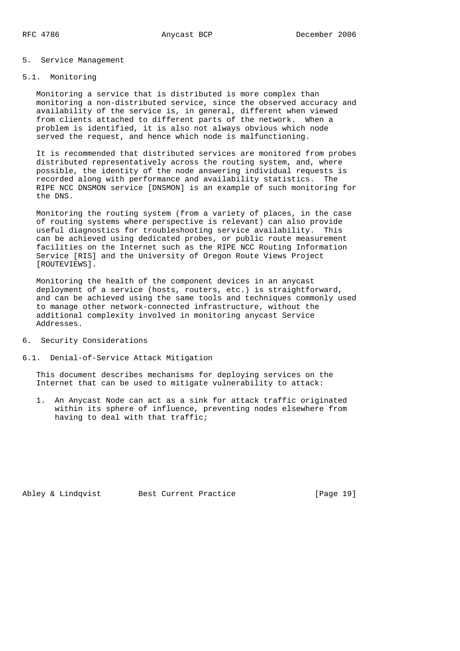#### 5. Service Management

# 5.1. Monitoring

 Monitoring a service that is distributed is more complex than monitoring a non-distributed service, since the observed accuracy and availability of the service is, in general, different when viewed from clients attached to different parts of the network. When a problem is identified, it is also not always obvious which node served the request, and hence which node is malfunctioning.

 It is recommended that distributed services are monitored from probes distributed representatively across the routing system, and, where possible, the identity of the node answering individual requests is recorded along with performance and availability statistics. The RIPE NCC DNSMON service [DNSMON] is an example of such monitoring for the DNS.

 Monitoring the routing system (from a variety of places, in the case of routing systems where perspective is relevant) can also provide useful diagnostics for troubleshooting service availability. This can be achieved using dedicated probes, or public route measurement facilities on the Internet such as the RIPE NCC Routing Information Service [RIS] and the University of Oregon Route Views Project [ROUTEVIEWS].

 Monitoring the health of the component devices in an anycast deployment of a service (hosts, routers, etc.) is straightforward, and can be achieved using the same tools and techniques commonly used to manage other network-connected infrastructure, without the additional complexity involved in monitoring anycast Service Addresses.

- 6. Security Considerations
- 6.1. Denial-of-Service Attack Mitigation

 This document describes mechanisms for deploying services on the Internet that can be used to mitigate vulnerability to attack:

 1. An Anycast Node can act as a sink for attack traffic originated within its sphere of influence, preventing nodes elsewhere from having to deal with that traffic;

Abley & Lindqvist Best Current Practice [Page 19]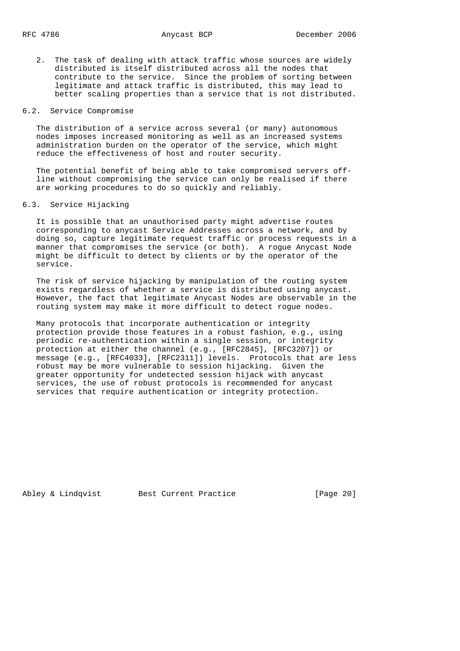2. The task of dealing with attack traffic whose sources are widely distributed is itself distributed across all the nodes that contribute to the service. Since the problem of sorting between legitimate and attack traffic is distributed, this may lead to better scaling properties than a service that is not distributed.

## 6.2. Service Compromise

 The distribution of a service across several (or many) autonomous nodes imposes increased monitoring as well as an increased systems administration burden on the operator of the service, which might reduce the effectiveness of host and router security.

 The potential benefit of being able to take compromised servers off line without compromising the service can only be realised if there are working procedures to do so quickly and reliably.

### 6.3. Service Hijacking

 It is possible that an unauthorised party might advertise routes corresponding to anycast Service Addresses across a network, and by doing so, capture legitimate request traffic or process requests in a manner that compromises the service (or both). A rogue Anycast Node might be difficult to detect by clients or by the operator of the service.

 The risk of service hijacking by manipulation of the routing system exists regardless of whether a service is distributed using anycast. However, the fact that legitimate Anycast Nodes are observable in the routing system may make it more difficult to detect rogue nodes.

 Many protocols that incorporate authentication or integrity protection provide those features in a robust fashion, e.g., using periodic re-authentication within a single session, or integrity protection at either the channel (e.g., [RFC2845], [RFC3207]) or message (e.g., [RFC4033], [RFC2311]) levels. Protocols that are less robust may be more vulnerable to session hijacking. Given the greater opportunity for undetected session hijack with anycast services, the use of robust protocols is recommended for anycast services that require authentication or integrity protection.

Abley & Lindqvist Best Current Practice [Page 20]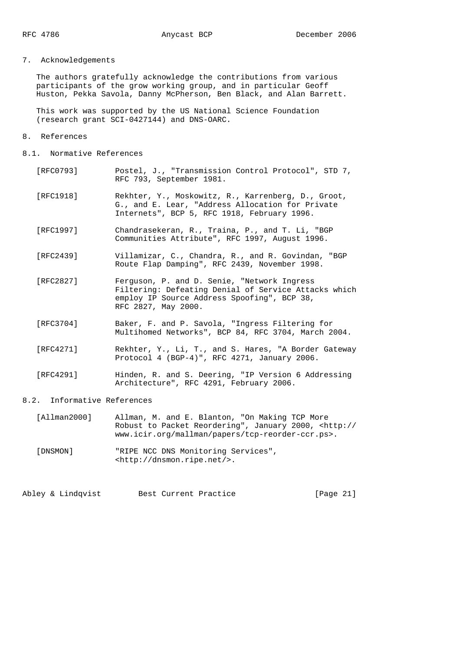# 7. Acknowledgements

 The authors gratefully acknowledge the contributions from various participants of the grow working group, and in particular Geoff Huston, Pekka Savola, Danny McPherson, Ben Black, and Alan Barrett.

 This work was supported by the US National Science Foundation (research grant SCI-0427144) and DNS-OARC.

- 8. References
- 8.1. Normative References
	- [RFC0793] Postel, J., "Transmission Control Protocol", STD 7, RFC 793, September 1981.
	- [RFC1918] Rekhter, Y., Moskowitz, R., Karrenberg, D., Groot, G., and E. Lear, "Address Allocation for Private Internets", BCP 5, RFC 1918, February 1996.
	- [RFC1997] Chandrasekeran, R., Traina, P., and T. Li, "BGP Communities Attribute", RFC 1997, August 1996.
	- [RFC2439] Villamizar, C., Chandra, R., and R. Govindan, "BGP Route Flap Damping", RFC 2439, November 1998.
	- [RFC2827] Ferguson, P. and D. Senie, "Network Ingress Filtering: Defeating Denial of Service Attacks which employ IP Source Address Spoofing", BCP 38, RFC 2827, May 2000.
	- [RFC3704] Baker, F. and P. Savola, "Ingress Filtering for Multihomed Networks", BCP 84, RFC 3704, March 2004.
	- [RFC4271] Rekhter, Y., Li, T., and S. Hares, "A Border Gateway Protocol 4 (BGP-4)", RFC 4271, January 2006.
	- [RFC4291] Hinden, R. and S. Deering, "IP Version 6 Addressing Architecture", RFC 4291, February 2006.

#### 8.2. Informative References

- [Allman2000] Allman, M. and E. Blanton, "On Making TCP More Robust to Packet Reordering", January 2000, <http:// www.icir.org/mallman/papers/tcp-reorder-ccr.ps>.
- [DNSMON] "RIPE NCC DNS Monitoring Services", <http://dnsmon.ripe.net/>.

Abley & Lindqvist Best Current Practice [Page 21]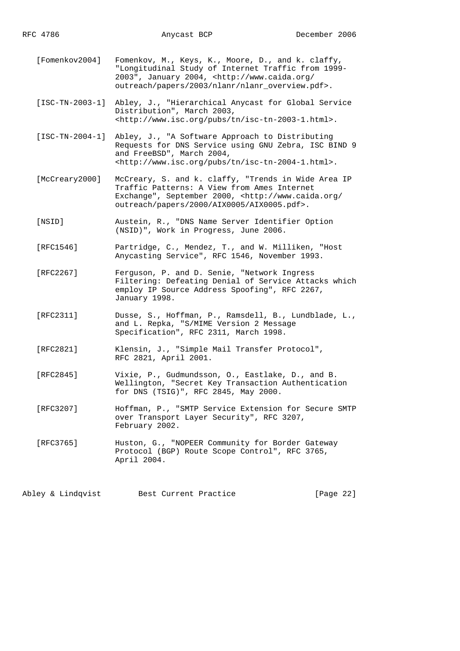[Fomenkov2004] Fomenkov, M., Keys, K., Moore, D., and k. claffy, "Longitudinal Study of Internet Traffic from 1999- 2003", January 2004, <http://www.caida.org/ outreach/papers/2003/nlanr/nlanr\_overview.pdf>.

 [ISC-TN-2003-1] Abley, J., "Hierarchical Anycast for Global Service Distribution", March 2003, <http://www.isc.org/pubs/tn/isc-tn-2003-1.html>.

 [ISC-TN-2004-1] Abley, J., "A Software Approach to Distributing Requests for DNS Service using GNU Zebra, ISC BIND 9 and FreeBSD", March 2004, <http://www.isc.org/pubs/tn/isc-tn-2004-1.html>.

 [McCreary2000] McCreary, S. and k. claffy, "Trends in Wide Area IP Traffic Patterns: A View from Ames Internet Exchange", September 2000, <http://www.caida.org/ outreach/papers/2000/AIX0005/AIX0005.pdf>.

 [NSID] Austein, R., "DNS Name Server Identifier Option (NSID)", Work in Progress, June 2006.

 [RFC1546] Partridge, C., Mendez, T., and W. Milliken, "Host Anycasting Service", RFC 1546, November 1993.

 [RFC2267] Ferguson, P. and D. Senie, "Network Ingress Filtering: Defeating Denial of Service Attacks which employ IP Source Address Spoofing", RFC 2267, January 1998.

 [RFC2311] Dusse, S., Hoffman, P., Ramsdell, B., Lundblade, L., and L. Repka, "S/MIME Version 2 Message Specification", RFC 2311, March 1998.

 [RFC2821] Klensin, J., "Simple Mail Transfer Protocol", RFC 2821, April 2001.

 [RFC2845] Vixie, P., Gudmundsson, O., Eastlake, D., and B. Wellington, "Secret Key Transaction Authentication for DNS (TSIG)", RFC 2845, May 2000.

 [RFC3207] Hoffman, P., "SMTP Service Extension for Secure SMTP over Transport Layer Security", RFC 3207, February 2002.

 [RFC3765] Huston, G., "NOPEER Community for Border Gateway Protocol (BGP) Route Scope Control", RFC 3765, April 2004.

Abley & Lindqvist Best Current Practice [Page 22]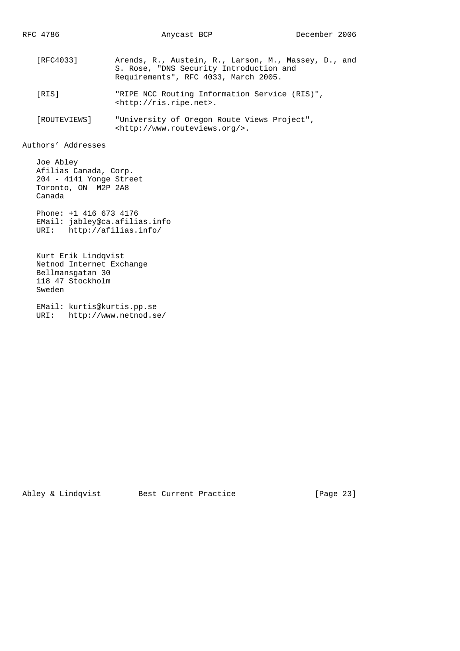- [RFC4033] Arends, R., Austein, R., Larson, M., Massey, D., and S. Rose, "DNS Security Introduction and Requirements", RFC 4033, March 2005.
- [RIS] "RIPE NCC Routing Information Service (RIS)", <http://ris.ripe.net>.
- [ROUTEVIEWS] "University of Oregon Route Views Project", <http://www.routeviews.org/>.

Authors' Addresses

 Joe Abley Afilias Canada, Corp. 204 - 4141 Yonge Street Toronto, ON M2P 2A8 Canada

 Phone: +1 416 673 4176 EMail: jabley@ca.afilias.info URI: http://afilias.info/

 Kurt Erik Lindqvist Netnod Internet Exchange Bellmansgatan 30 118 47 Stockholm Sweden

 EMail: kurtis@kurtis.pp.se URI: http://www.netnod.se/

Abley & Lindqvist Best Current Practice [Page 23]